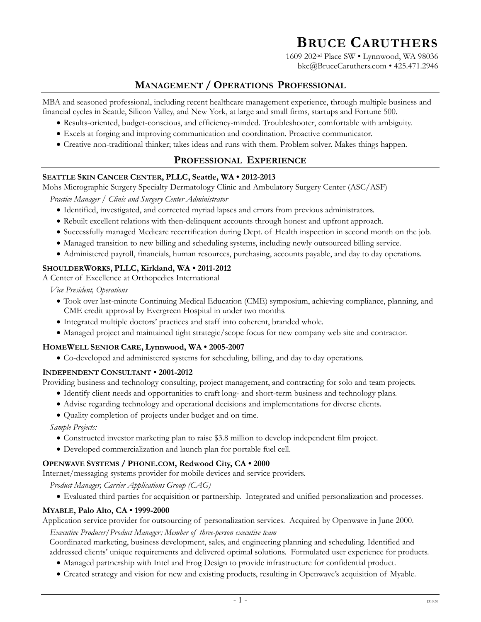# **BRUCE CARUTHERS**

 1609 202nd Place SW • Lynnwood, WA 98036 bkc@BruceCaruthers.com • 425.471.2946

# **MANAGEMENT / OPERATIONS PROFESSIONAL**

MBA and seasoned professional, including recent healthcare management experience, through multiple business and financial cycles in Seattle, Silicon Valley, and New York, at large and small firms, startups and Fortune 500.

- Results-oriented, budget-conscious, and efficiency-minded. Troubleshooter, comfortable with ambiguity.
- Excels at forging and improving communication and coordination. Proactive communicator.
- Creative non-traditional thinker; takes ideas and runs with them. Problem solver. Makes things happen.

# **PROFESSIONAL EXPERIENCE**

# **SEATTLE SKIN CANCER CENTER, PLLC, Seattle, WA • 2012-2013**

Mohs Micrographic Surgery Specialty Dermatology Clinic and Ambulatory Surgery Center (ASC/ASF)

*Practice Manager / Clinic and Surgery Center Administrator* 

- Identified, investigated, and corrected myriad lapses and errors from previous administrators.
- Rebuilt excellent relations with then-delinquent accounts through honest and upfront approach.
- Successfully managed Medicare recertification during Dept. of Health inspection in second month on the job.
- Managed transition to new billing and scheduling systems, including newly outsourced billing service.
- Administered payroll, financials, human resources, purchasing, accounts payable, and day to day operations.

# **SHOULDERWORKS, PLLC, Kirkland, WA • 2011-2012**

A Center of Excellence at Orthopedics International

*Vice President, Operations* 

- Took over last-minute Continuing Medical Education (CME) symposium, achieving compliance, planning, and CME credit approval by Evergreen Hospital in under two months.
- Integrated multiple doctors' practices and staff into coherent, branded whole.
- Managed project and maintained tight strategic/scope focus for new company web site and contractor.

#### **HOMEWELL SENIOR CARE, Lynnwood, WA • 2005-2007**

• Co-developed and administered systems for scheduling, billing, and day to day operations.

#### **INDEPENDENT CONSULTANT • 2001-2012**

Providing business and technology consulting, project management, and contracting for solo and team projects.

- Identify client needs and opportunities to craft long- and short-term business and technology plans.
- Advise regarding technology and operational decisions and implementations for diverse clients.
- Quality completion of projects under budget and on time.

*Sample Projects:* 

- Constructed investor marketing plan to raise \$3.8 million to develop independent film project.
- Developed commercialization and launch plan for portable fuel cell.

#### **OPENWAVE SYSTEMS / PHONE.COM, Redwood City, CA • 2000**

Internet/messaging systems provider for mobile devices and service providers.

*Product Manager, Carrier Applications Group (CAG)* 

• Evaluated third parties for acquisition or partnership. Integrated and unified personalization and processes.

#### **MYABLE, Palo Alto, CA • 1999-2000**

Application service provider for outsourcing of personalization services. Acquired by Openwave in June 2000.

*Executive Producer/Product Manager; Member of three-person executive team* 

Coordinated marketing, business development, sales, and engineering planning and scheduling. Identified and addressed clients' unique requirements and delivered optimal solutions. Formulated user experience for products.

- Managed partnership with Intel and Frog Design to provide infrastructure for confidential product.
- Created strategy and vision for new and existing products, resulting in Openwave's acquisition of Myable.